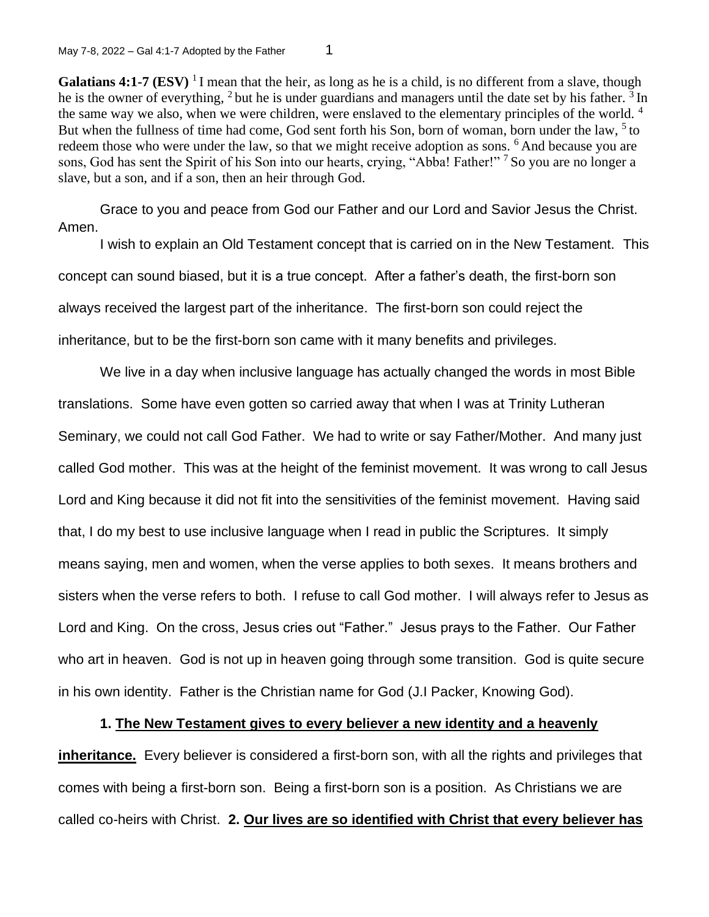**Galatians 4:1-7 (ESV)** <sup>1</sup>I mean that the heir, as long as he is a child, is no different from a slave, though he is the owner of everything,  $2$  but he is under guardians and managers until the date set by his father.  $3 \text{ In }$ the same way we also, when we were children, were enslaved to the elementary principles of the world. <sup>4</sup> But when the fullness of time had come, God sent forth his Son, born of woman, born under the law,  $5$  to redeem those who were under the law, so that we might receive adoption as sons. <sup>6</sup>And because you are sons, God has sent the Spirit of his Son into our hearts, crying, "Abba! Father!" <sup>7</sup> So you are no longer a slave, but a son, and if a son, then an heir through God.

Grace to you and peace from God our Father and our Lord and Savior Jesus the Christ. Amen.

I wish to explain an Old Testament concept that is carried on in the New Testament. This concept can sound biased, but it is a true concept. After a father's death, the first-born son always received the largest part of the inheritance. The first-born son could reject the inheritance, but to be the first-born son came with it many benefits and privileges.

We live in a day when inclusive language has actually changed the words in most Bible translations. Some have even gotten so carried away that when I was at Trinity Lutheran Seminary, we could not call God Father. We had to write or say Father/Mother. And many just called God mother. This was at the height of the feminist movement. It was wrong to call Jesus Lord and King because it did not fit into the sensitivities of the feminist movement. Having said that, I do my best to use inclusive language when I read in public the Scriptures. It simply means saying, men and women, when the verse applies to both sexes. It means brothers and sisters when the verse refers to both. I refuse to call God mother. I will always refer to Jesus as Lord and King. On the cross, Jesus cries out "Father." Jesus prays to the Father. Our Father who art in heaven. God is not up in heaven going through some transition. God is quite secure in his own identity. Father is the Christian name for God (J.I Packer, Knowing God).

## **1. The New Testament gives to every believer a new identity and a heavenly**

**inheritance.** Every believer is considered a first-born son, with all the rights and privileges that comes with being a first-born son. Being a first-born son is a position. As Christians we are called co-heirs with Christ. **2. Our lives are so identified with Christ that every believer has**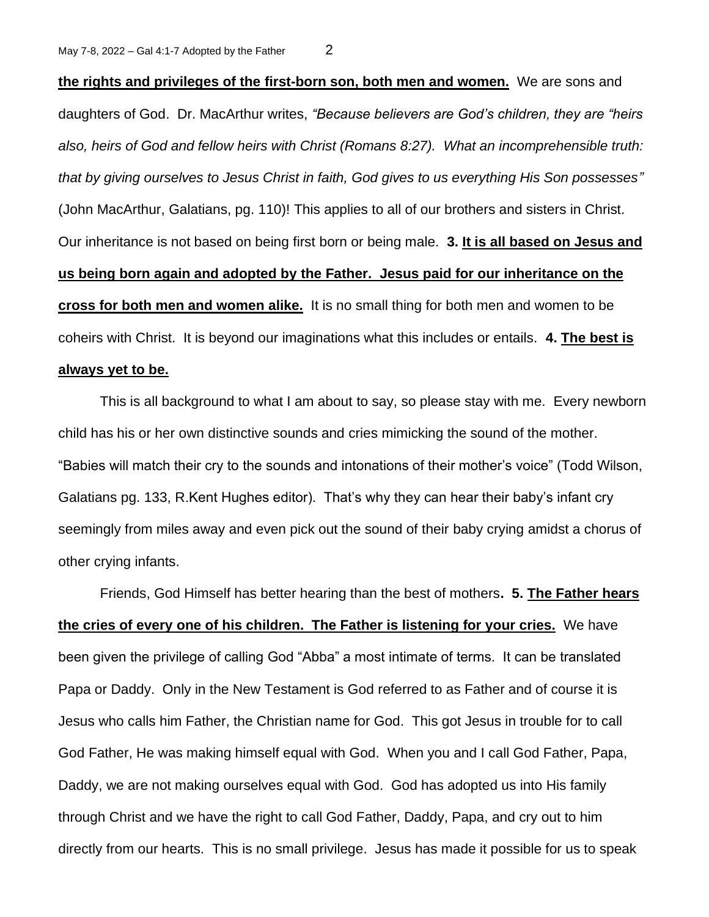**the rights and privileges of the first-born son, both men and women.** We are sons and daughters of God. Dr. MacArthur writes, *"Because believers are God's children, they are "heirs also, heirs of God and fellow heirs with Christ (Romans 8:27). What an incomprehensible truth: that by giving ourselves to Jesus Christ in faith, God gives to us everything His Son possesses"* (John MacArthur, Galatians, pg. 110)! This applies to all of our brothers and sisters in Christ. Our inheritance is not based on being first born or being male. **3. It is all based on Jesus and us being born again and adopted by the Father. Jesus paid for our inheritance on the cross for both men and women alike.** It is no small thing for both men and women to be coheirs with Christ. It is beyond our imaginations what this includes or entails. **4. The best is always yet to be.** 

This is all background to what I am about to say, so please stay with me. Every newborn child has his or her own distinctive sounds and cries mimicking the sound of the mother. "Babies will match their cry to the sounds and intonations of their mother's voice" (Todd Wilson, Galatians pg. 133, R.Kent Hughes editor). That's why they can hear their baby's infant cry seemingly from miles away and even pick out the sound of their baby crying amidst a chorus of other crying infants.

Friends, God Himself has better hearing than the best of mothers**. 5. The Father hears the cries of every one of his children. The Father is listening for your cries.** We have been given the privilege of calling God "Abba" a most intimate of terms. It can be translated Papa or Daddy. Only in the New Testament is God referred to as Father and of course it is Jesus who calls him Father, the Christian name for God. This got Jesus in trouble for to call God Father, He was making himself equal with God. When you and I call God Father, Papa, Daddy, we are not making ourselves equal with God. God has adopted us into His family through Christ and we have the right to call God Father, Daddy, Papa, and cry out to him directly from our hearts. This is no small privilege. Jesus has made it possible for us to speak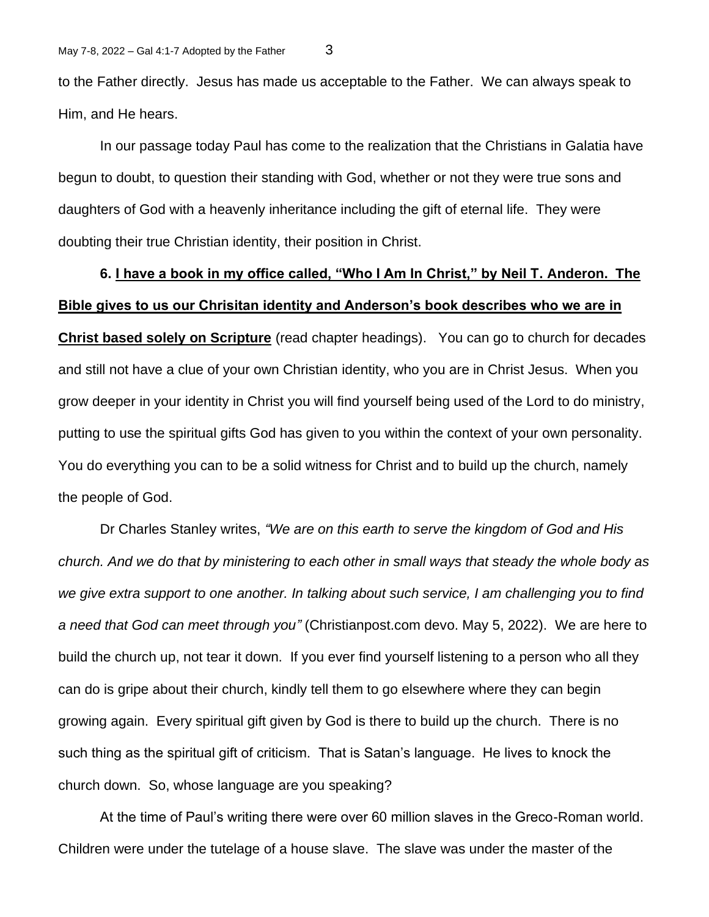to the Father directly. Jesus has made us acceptable to the Father. We can always speak to Him, and He hears.

In our passage today Paul has come to the realization that the Christians in Galatia have begun to doubt, to question their standing with God, whether or not they were true sons and daughters of God with a heavenly inheritance including the gift of eternal life. They were doubting their true Christian identity, their position in Christ.

## **6. I have a book in my office called, "Who I Am In Christ," by Neil T. Anderon. The Bible gives to us our Chrisitan identity and Anderson's book describes who we are in**

**Christ based solely on Scripture** (read chapter headings). You can go to church for decades and still not have a clue of your own Christian identity, who you are in Christ Jesus. When you grow deeper in your identity in Christ you will find yourself being used of the Lord to do ministry, putting to use the spiritual gifts God has given to you within the context of your own personality. You do everything you can to be a solid witness for Christ and to build up the church, namely the people of God.

Dr Charles Stanley writes, *"We are on this earth to serve the kingdom of God and His church. And we do that by ministering to each other in small ways that steady the whole body as we give extra support to one another. In talking about such service, I am challenging you to find a need that God can meet through you"* (Christianpost.com devo. May 5, 2022). We are here to build the church up, not tear it down. If you ever find yourself listening to a person who all they can do is gripe about their church, kindly tell them to go elsewhere where they can begin growing again. Every spiritual gift given by God is there to build up the church. There is no such thing as the spiritual gift of criticism. That is Satan's language. He lives to knock the church down. So, whose language are you speaking?

At the time of Paul's writing there were over 60 million slaves in the Greco-Roman world. Children were under the tutelage of a house slave. The slave was under the master of the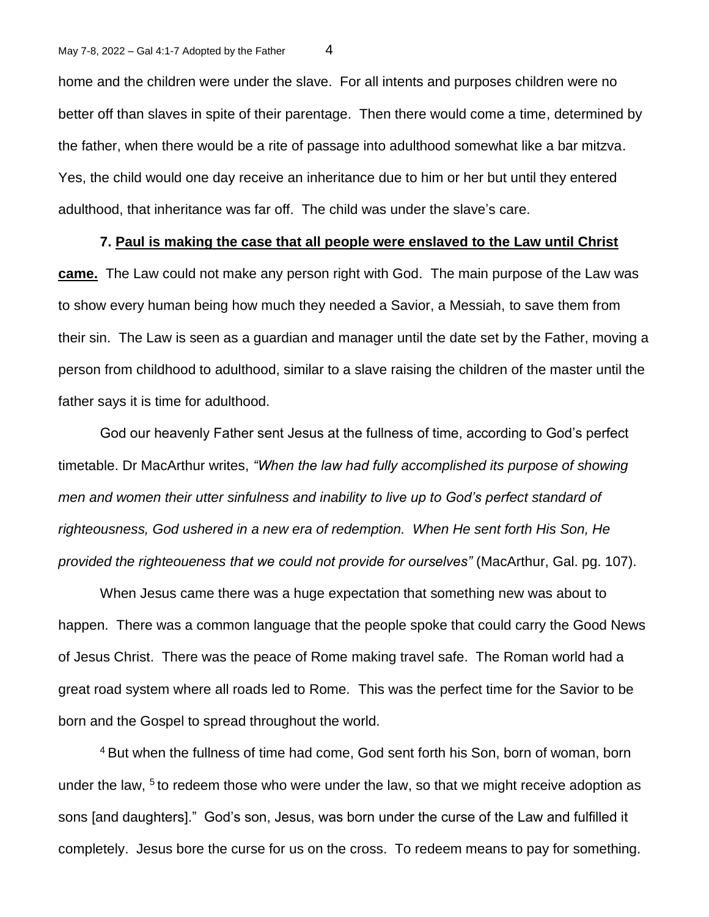home and the children were under the slave. For all intents and purposes children were no better off than slaves in spite of their parentage. Then there would come a time, determined by the father, when there would be a rite of passage into adulthood somewhat like a bar mitzva. Yes, the child would one day receive an inheritance due to him or her but until they entered adulthood, that inheritance was far off. The child was under the slave's care.

## **7. Paul is making the case that all people were enslaved to the Law until Christ**

**came.** The Law could not make any person right with God. The main purpose of the Law was to show every human being how much they needed a Savior, a Messiah, to save them from their sin. The Law is seen as a guardian and manager until the date set by the Father, moving a person from childhood to adulthood, similar to a slave raising the children of the master until the father says it is time for adulthood.

God our heavenly Father sent Jesus at the fullness of time, according to God's perfect timetable. Dr MacArthur writes, *"When the law had fully accomplished its purpose of showing men and women their utter sinfulness and inability to live up to God's perfect standard of righteousness, God ushered in a new era of redemption. When He sent forth His Son, He provided the righteoueness that we could not provide for ourselves"* (MacArthur, Gal. pg. 107).

When Jesus came there was a huge expectation that something new was about to happen. There was a common language that the people spoke that could carry the Good News of Jesus Christ. There was the peace of Rome making travel safe. The Roman world had a great road system where all roads led to Rome. This was the perfect time for the Savior to be born and the Gospel to spread throughout the world.

<sup>4</sup> But when the fullness of time had come, God sent forth his Son, born of woman, born under the law,  $5$  to redeem those who were under the law, so that we might receive adoption as sons [and daughters]." God's son, Jesus, was born under the curse of the Law and fulfilled it completely. Jesus bore the curse for us on the cross. To redeem means to pay for something.